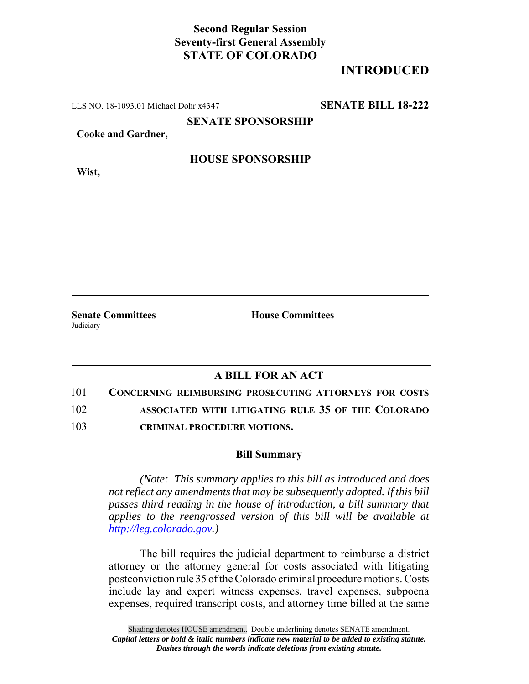## **Second Regular Session Seventy-first General Assembly STATE OF COLORADO**

# **INTRODUCED**

LLS NO. 18-1093.01 Michael Dohr x4347 **SENATE BILL 18-222**

**SENATE SPONSORSHIP**

**Cooke and Gardner,**

#### **HOUSE SPONSORSHIP**

**Wist,**

**Judiciary** 

**Senate Committees House Committees** 

### **A BILL FOR AN ACT**

- 101 **CONCERNING REIMBURSING PROSECUTING ATTORNEYS FOR COSTS** 102 **ASSOCIATED WITH LITIGATING RULE 35 OF THE COLORADO**
- 103 **CRIMINAL PROCEDURE MOTIONS.**

#### **Bill Summary**

*(Note: This summary applies to this bill as introduced and does not reflect any amendments that may be subsequently adopted. If this bill passes third reading in the house of introduction, a bill summary that applies to the reengrossed version of this bill will be available at http://leg.colorado.gov.)*

The bill requires the judicial department to reimburse a district attorney or the attorney general for costs associated with litigating postconviction rule 35 of the Colorado criminal procedure motions. Costs include lay and expert witness expenses, travel expenses, subpoena expenses, required transcript costs, and attorney time billed at the same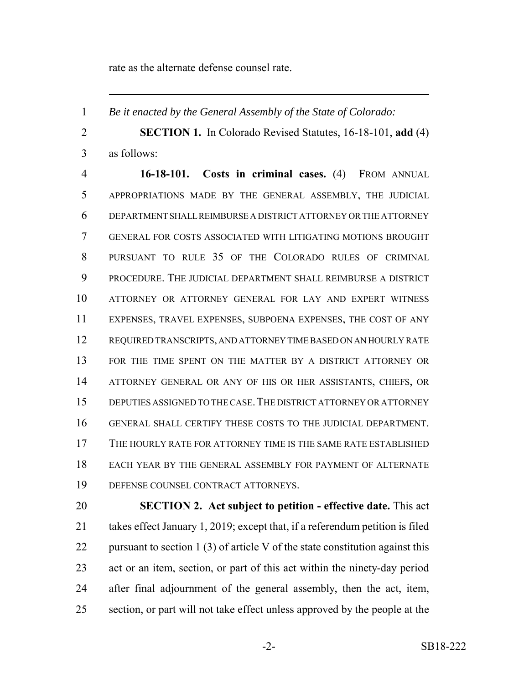rate as the alternate defense counsel rate.

*Be it enacted by the General Assembly of the State of Colorado:*

 **SECTION 1.** In Colorado Revised Statutes, 16-18-101, **add** (4) as follows:

 **16-18-101. Costs in criminal cases.** (4) FROM ANNUAL APPROPRIATIONS MADE BY THE GENERAL ASSEMBLY, THE JUDICIAL DEPARTMENT SHALL REIMBURSE A DISTRICT ATTORNEY OR THE ATTORNEY GENERAL FOR COSTS ASSOCIATED WITH LITIGATING MOTIONS BROUGHT PURSUANT TO RULE 35 OF THE COLORADO RULES OF CRIMINAL PROCEDURE. THE JUDICIAL DEPARTMENT SHALL REIMBURSE A DISTRICT ATTORNEY OR ATTORNEY GENERAL FOR LAY AND EXPERT WITNESS EXPENSES, TRAVEL EXPENSES, SUBPOENA EXPENSES, THE COST OF ANY REQUIRED TRANSCRIPTS, AND ATTORNEY TIME BASED ON AN HOURLY RATE 13 FOR THE TIME SPENT ON THE MATTER BY A DISTRICT ATTORNEY OR ATTORNEY GENERAL OR ANY OF HIS OR HER ASSISTANTS, CHIEFS, OR DEPUTIES ASSIGNED TO THE CASE.THE DISTRICT ATTORNEY OR ATTORNEY GENERAL SHALL CERTIFY THESE COSTS TO THE JUDICIAL DEPARTMENT. THE HOURLY RATE FOR ATTORNEY TIME IS THE SAME RATE ESTABLISHED EACH YEAR BY THE GENERAL ASSEMBLY FOR PAYMENT OF ALTERNATE DEFENSE COUNSEL CONTRACT ATTORNEYS.

 **SECTION 2. Act subject to petition - effective date.** This act takes effect January 1, 2019; except that, if a referendum petition is filed 22 pursuant to section 1 (3) of article V of the state constitution against this act or an item, section, or part of this act within the ninety-day period after final adjournment of the general assembly, then the act, item, section, or part will not take effect unless approved by the people at the